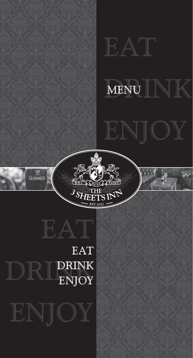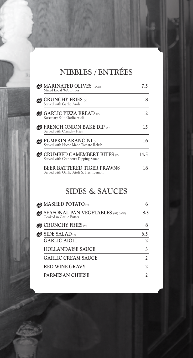### NIBBLES / ENTRÉES

| <b>AMARINATED OLIVES</b> (VGN)<br>Mixed Local WA Olives                      | 7.5  |
|------------------------------------------------------------------------------|------|
| <b>&amp; CRUNCHY FRIES</b> (V)<br>Served with Garlic Aioli                   |      |
| $\bullet$ GARLIC PIZZA BREAD<br>Rosemary Salt, Garlic Aioli                  | 12   |
| $\bullet$ FRENCH ONION BAKE DIP<br>Served with Crunchy Fries                 | 15   |
| <b>@ PUMPKIN ARANCINI</b> (V)<br>Served with Home Made Tomato Relish         | 16   |
| $\bullet$ CRUMBED CAMEMBERT BITES (V)<br>Served with Cranberry Dipping Sauce | 14.5 |
| <b>BEER BATTERED TIGER PRAWNS</b><br>Served with Garlic Aioli & Fresh Lemon  | 18   |

#### SIDES & SAUCES

| <b>SEASONAL PAN VEGETABLES</b> (GF) (VGN)<br>Cooked in Garlic Butter | 8.5            |
|----------------------------------------------------------------------|----------------|
| $\bullet$ CRUNCHY FRIES                                              | 8              |
| $\bullet$ SIDE SALAD                                                 | 6.5            |
| <b>GARLIC AIOLI</b>                                                  | $\mathfrak{D}$ |
| <b>HOLLANDAISE SAUCE</b>                                             | 3              |
| <b>GARLIC CREAM SAUCE</b>                                            | $\mathfrak{D}$ |
| <b>RED WINE GRAVY</b>                                                | $\mathfrak{D}$ |
| <b>PARMESAN CHEESE</b>                                               | 2              |
|                                                                      |                |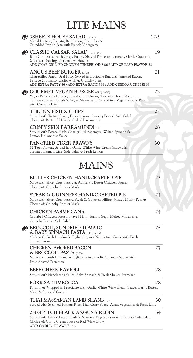# LITE MAINS

| <b>SSHEETS HOUSE SALAD</b> (GF) (V)<br>Mixed Lettuce, Tomato, Red Onion, Cucumber &<br>Crumbled Danish Feta with French Vinaigrette                                                                                                 | 12.5 |
|-------------------------------------------------------------------------------------------------------------------------------------------------------------------------------------------------------------------------------------|------|
| CLASSIC CAESAR SALAD (GFO) (VO)<br>Baby Cos Lettuce with Crispy Bacon, Shaved Parmesan, Crunchy Garlic Croutons<br>& Caesar Dressing. Optional Anchovies<br>ADD CHAR-GRILLED CHICKEN TENDERLOINS \$6 / ADD GRILLED PRAWNS \$8       | 19   |
| <b>ANGUS BEEF BURGER</b> (GFO)<br>Char-grilled Angus Beef Patty, Served in a Brioche Bun with Smoked Bacon,<br>Lettuce & Tomato. Garlic Aioli & Crunchy Fries<br>ADD EXTRA PATTY \$6 / ADD EXTRA BACON \$3 / ADD CHEDDAR CHEESE \$3 | 21   |
| <b>@ GOURMET VEGAN BURGER (GFO) (VGN)</b><br>Vegan Patty with Lettuce, Tomato, Red Onion, Avocado, Home Made<br>Tomato Zucchini Relish & Vegan Mayonnaise. Served in a Vegan Brioche Bun<br>with Crunchy Fries                      | 22   |
| THE INN FISH & CHIPS<br>Served with Tartare Sauce, Fresh Lemon, Crunchy Fries & Side Salad.<br>Choice of: Battered Hake or Grilled Barramundi                                                                                       | 25   |
| <b>CRISPY SKIN BARRAMUNDI</b> (GF)<br>Served with Potato Hash, Char-grilled Asparagus, Wilted Spinach &<br>Lemon Hollandaise Sauce                                                                                                  | 28   |
| <b>PAN-FRIED TIGER PRAWNS</b><br>12 Tiger Prawns, Served in a Garlic White Wine Cream Sauce with<br>Steamed Basmati Rice, Side Salad & Fresh Lemon                                                                                  | 30   |
| MAINS                                                                                                                                                                                                                               |      |
| BUTTER CHICKEN HAND-CRAFTED PIE<br>Made with Short Crust Pastry & Authentic Butter Chicken Sauce.<br>Choice of: Crunchy Fries or Mash                                                                                               | 23   |
| STEAK & GUINNESS HAND-CRAFTED PIE<br>Made with Short Crust Pastry, Steak & Guinness Filling. Minted Mushy Peas &<br>Choice of: Crunchy Fries or Mash                                                                                | 24   |
| <b>CHICKEN PARMIGIANA</b><br>Crumbed Chicken Breast, Shaved Ham, Tomato Sugo, Melted Mozzarella,<br>Crunchy Fries & Side Salad                                                                                                      | 24   |
| <b>@ BROCCOLI, SUNDRIED TOMATO</b><br>& BABY SPINACH PASTA (GFO) (VGN)<br>Made with Fresh Handmade Tagliatelle, in a Napoletana Sauce with Fresh<br>Shaved Parmesan                                                                 | 25   |
| <b>CHICKEN, SMOKED BACON</b><br>& BROCCOLI PASTA (GFO)<br>Made with Fresh Handmade Tagliatelle in a Garlic & Cream Sauce with<br>Fresh Shaved Parmesan                                                                              | 27   |
| <b>BEEF CHEEK RAVIOLI</b><br>Served with Napoletana Sauce, Baby Spinach & Fresh Shaved Parmesan                                                                                                                                     | 28   |
| PORK SALTIMBOCCA<br>Pork Fillet Wrapped in Prosciutto with Garlic White Wine Cream Sauce, Garlic Butter,<br>Mash & Seasonal Greens                                                                                                  | 28   |
| <b>THAI MASSAMAN LAMB SHANK (GF)</b><br>Served with Steamed Basmati Rice, Thai Curry Sauce, Asian Vegetables & Fresh Lime                                                                                                           | 30   |
| <b>250G PITCH BLACK ANGUS SIRLOIN</b><br>Served with Either: Potato Hash & Seasonal Vegetables or with Fries & Side Salad.<br>Choice of: Garlic Cream Sauce or Red Wine Gravy<br>ADD GARLIC PRAWNS \$8                              | 34   |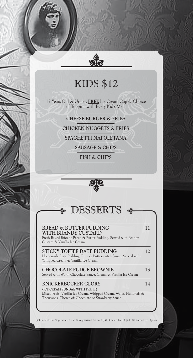## KIDS \$12

12 Years Old & Under. **FREE** Ice Cream Cup & Choice of Topping with Every Kid's Meal

**CHEESE BURGER & FRIES** 

**CHICKEN NUGGETS & FRIES**

**SPAGHETTI NAPOLETANA**

**SAUSAGE & CHIPS**

**FISH & CHIPS**



#### DESSERTS

#### **BREAD & BUTTER PUDDING 11 WITH BRANDY CUSTARD**

Fresh Baked Brioche Bread & Butter Pudding. Served with Brandy Custard & Vanilla Ice Cream

**STICKY TOFFEE DATE PUDDING** 12 Homemade Date Pudding, Rum & Butterscotch Sauce. Served with Whipped Cream & Vanilla Ice Cream

**CHOCOLATE FUDGE BROWNIE 13** Served with Warm Chocolate Sauce, Cream & Vanilla Ice Cream

#### **KNICKERBOCKER GLORY 14 (ICE CREAM SUNDAE WITH FRUIT)**

Mixed Fruit, Vanilla Ice Cream, Whipped Cream, Wafer, Hundreds & Thousands. Choice of: Chocolate or Strawberry Sauce

(V) Suitable For Vegetarians • (VO) Vegetarian Option • (GF) Gluten Free • (GFO) Gluten Free Option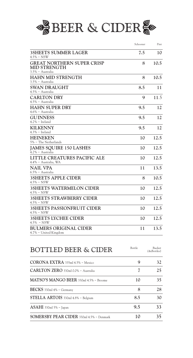

|                                                                              | Schooner | Pint |
|------------------------------------------------------------------------------|----------|------|
| <b>3SHEETS SUMMER LAGER</b><br>$4.5\% \sim$ NSW                              | 7.5      | 10   |
| <b>GREAT NORTHERN SUPER CRISP</b><br><b>MID STRENGTH</b><br>3.5% ~ Australia | 8        | 10.5 |
| <b>HAHN MID STRENGTH</b><br>$3.5\%$ ~ Australia                              | 8        | 10.5 |
| <b>SWAN DRAUGHT</b><br>4.5% ~ Australia                                      | 8.5      | 11   |
| <b>CARLTON DRY</b><br>$4.5\%$ ~ Australia                                    | 9        | 11.5 |
| <b>HAHN SUPER DRY</b><br>$4.6\%$ ~ Australia                                 | 9.5      | 12   |
| <b>GUINNESS</b><br>$4.2\%$ ~ Ireland                                         | 9.5      | 12   |
| <b>KILKENNY</b><br>$4.3\%$ ~ Ireland                                         | 9.5      | 12   |
| <b>HEINEKEN</b><br>$5\%$ ~ The Netherlands                                   | 10       | 12.5 |
| <b>JAMES SOUIRE 150 LASHES</b><br>$4.2\%$ ~ Australia                        | 10       | 12.5 |
| LITTLE CREATURES PACIFIC ALE<br>4.4% ~ Australia, WA                         | 10       | 12.5 |
| <b>NAIL VPA</b><br>$6.5\%$ ~ Australia                                       | 11       | 13.5 |
| <b>3SHEETS APPLE CIDER</b><br>$4.5\% \sim$ NSW                               | 8        | 10.5 |
| <b>3SHEETS WATERMELON CIDER</b><br>$4.5\% \sim$ NSW                          | 10       | 12.5 |
| <b>3SHEETS STRAWBERRY CIDER</b><br>$4.5\% \sim$ NSW                          | 10       | 12.5 |
| <b>3SHEETS PASSIONFRUIT CIDER</b><br>$4.5\% \sim$ NSW                        | 10       | 12.5 |
| <b>3SHEETS LYCHEE CIDER</b><br>$4.5\% \sim \text{NSW}$                       | 10       | 12.5 |
| <b>BULMERS ORIGINAL CIDER</b><br>4.7% ~ United Kingdom                       | 11       | 13.5 |

| <b>BOTTLED BEER &amp; CIDER</b>                 | Bottle | Bucket<br>(4xBottles) |
|-------------------------------------------------|--------|-----------------------|
| CORONA EXTRA 335ml 4.5% ~ Mexico                | 9      | 32                    |
| <b>CARLTON ZERO</b> 330ml 0.0% $\sim$ Australia | 7      | 25                    |
| MATSO'S MANGO BEER 330ml 4.5% ~ Broome          | 10     | 35                    |
| BECKS 330ml 4% ~ Germany                        | 8      | 28                    |
| STELLA ARTOIS 330ml 4.8% ~ Belgium              | 8.5    | 30                    |
| $ASAHI$ 330ml 5% ~ Japan                        | 9.5    | 33                    |
| SOMERSBY PEAR CIDER 330ml 4.5% ~ Denmark        | 10     | 35                    |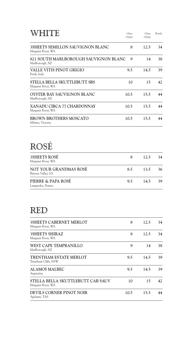| HITE                                                     | Glass<br>150ml | Glass<br>250ml | Bottle |
|----------------------------------------------------------|----------------|----------------|--------|
| 3SHEETS SEMILLON SAUVIGNON BLANC<br>Margaret River, WA   | 8              | 12.5           | 34     |
| 821 SOUTH MARLBOROUGH SAUVIGNON BLANC<br>Marlborough, NZ | 9              | 14             | 38     |
| VALLE VITIS PINOT GRIGIO<br>Friuli, Italy                | 9.5            | 14.5           | 39     |
| STELLA BELLA SKUTTLEBUTT SBS<br>Margaret River, WA       | 10             | 15             | 42     |
| <b>OYSTER BAY SAUVIGNON BLANC</b><br>Marlborough, NZ     | 10.5           | 15.5           | 44     |
| XANADU CIRCA 77 CHARDONNAY<br>Margaret River, WA         | 10.5           | 15.5           | 44     |
| <b>BROWN BROTHERS MOSCATO</b><br>Milawa, Victoria        | 10.5           | 15.5           | 44     |

# ROSÉ

| <b>3SHEETS ROSÉ</b><br>Margaret River, WA    |     | 12.5 | 34 |
|----------------------------------------------|-----|------|----|
| NOT YOUR GRANDMAS ROSÉ<br>Barossa Valley, SA | 8.5 | 13.5 | 36 |
| PIERRE & PAPA ROSÉ<br>Languedoc, France      | 9.5 | 14.5 | 39 |

#### RED

| <b>3SHEETS CABERNET MERLOT</b><br>Margaret River, WA    | 8    | 12.5 | 34 |
|---------------------------------------------------------|------|------|----|
| <b>3SHEETS SHIRAZ</b><br>Margaret River, WA             | 8    | 12.5 | 34 |
| WEST CAPE TEMPRANILLO<br>Marlborough, NZ                | 9    | 14   | 38 |
| <b>TRENTHAM ESTATE MERLOT</b><br>Trentham Cliffs, NSW   | 9.5  | 14.5 | 39 |
| <b>ALAMOS MALBEC</b><br>Argentina                       | 9.5  | 14.5 | 39 |
| STELLA BELLA SKUTTLEBUTT CAB SAUV<br>Margaret River, WA | 10   | 15   | 42 |
| DEVILS CORNER PINOT NOIR<br>Apslawn, TAS                | 10.5 | 15.5 | 44 |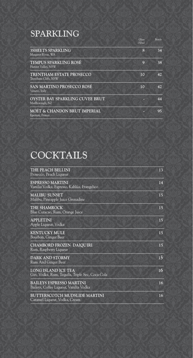### SPARKLING

|                                                    | Glass<br>150ml | Bottle |
|----------------------------------------------------|----------------|--------|
| <b>3SHEETS SPARKLING</b><br>Margaret River, WA     | 8              | 34     |
| TEMPUS SPARKLING ROSÉ<br>Hunter Valley, NSW        | 9              | 38     |
| TRENTHAM ESTATE PROSECCO<br>Trentham Cliffs, NSW   | 10             | 42     |
| SAN MARTINO PROSECCO ROSÉ<br>Veneto, Italy         | 10             | 42     |
| OYSTER BAY SPARKLING CUVEE BRUT<br>Marlborough, NZ |                | 44     |
| MOÉT & CHANDON BRUT IMPERIAL<br>Epernay, France    |                | 95     |

# COCKTAILS

| THE PEACH BELLINI<br>Prosecco, Peach Liqueur                                  | 13 |
|-------------------------------------------------------------------------------|----|
| <b>ESPRESSO MARTINI</b><br>Vanilia Vodka, Espresso, Kahlúa, Frangelico        | 14 |
| <b>MALIBU SUNSET</b><br>Malibu, Pineapple Juice Grenadine                     | 15 |
| THE SHAMROCK<br>Blue Curacao, Rum, Orange Juice                               | 15 |
| <b>APPLETINI</b><br>Apple Liqueur, Vodka                                      | 15 |
| KENTUCKY MULE<br>Bourbon, Ginger Beer                                         | 15 |
| CHAMBORD FROZEN DAIQUIRI<br>Rum, Raspberry Liqueur                            | 15 |
| <b>DARK AND STORMY</b><br>Rum And Ginger Beer                                 | 15 |
| <b>LONG ISLAND ICE TEA</b><br>Gin, Vodka, Rum, Tequila, Triple Sec, Coca-Cola | 16 |
| BAILEYS ESPRESSO MARTINI<br>Baileys, Coffee Liqueur, Vanilia Vodka            | 16 |
| <b>BUTTERSCOTCH MUDSLIDE MARTINI</b><br>Caramel Liqueur, Vodka, Cream         | 16 |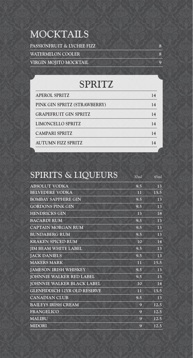# MOCKTAILS

| <b>PASSIONFRUIT &amp; LYCHEE FIZZ</b> |  |
|---------------------------------------|--|
| <b>WATERMELON COOLER</b>              |  |
| VIRGIN MOJITO MOCKTAIL                |  |

## SPRITZ

| <b>APEROL SPRITZ</b>         | 14 |
|------------------------------|----|
| PINK GIN SPRITZ (STRAWBERRY) | 14 |
| <b>GRAPEFRUIT GIN SPRITZ</b> | 14 |
| <b>LIMONCELLO SPRITZ</b>     | 14 |
| <b>CAMPARI SPRITZ</b>        | 14 |
| <b>AUTUMN FIZZ SPRITZ</b>    | 14 |

| SPIRITS & LIQUEURS                  | 30ml | 45ml |
|-------------------------------------|------|------|
| <b>ABSOLUT VODKA</b>                | 9.5  | 13   |
| BELVEDERE VODKA                     | 11   | 15.5 |
| <b>BOMBAY SAPPHIRE GIN</b>          | 9.5  | 13   |
| <b>GORDONS PINK GIN</b>             | 9.5  | 13   |
| <b>HENDRICKS GIN</b>                | 13   | 18   |
| <b>BACARDI RUM</b>                  | 9.5  | 13   |
| <b>CAPTAIN MORGAN RUM</b>           | 9.5  | 13   |
| <b>BUNDABERG RUM</b>                | 9.5  | 13   |
| <b>KRAKEN SPICED RUM</b>            | 10   | 14   |
| <b>JIM BEAM WHITE LABEL</b>         | 9.5  | 13   |
| <b>JACK DANIELS</b>                 | 9.5  | 13   |
| <b>MAKERS MARK</b>                  | 11   | 15.5 |
| <b>JAMESON IRISH WHISKEY</b>        | 9.5  | 13   |
| <b>JOHNNIE WALKER RED LABEL</b>     | 9.5  | 13   |
| <b>JOHNNIE WALKER BLACK LABEL</b>   | 10   | 14   |
| <b>GLENFIDDICH 12YR OLD RESERVE</b> | 11   | 15.5 |
| <b>CANADIAN CLUB</b>                | 9.5  | 13   |
| <b>BAILEYS IRISH CREAM</b>          | 9    | 12.5 |
| <b>FRANGELICO</b>                   | 9    | 12.5 |
| <b>MALIBU</b>                       | 9    | 12.5 |
| <b>MIDORI</b>                       | 9    | 12.5 |
|                                     |      |      |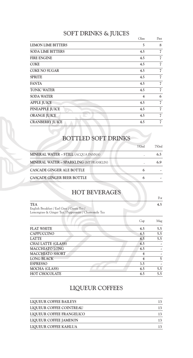#### SOFT DRINKS & JUICES

|                           | Glass | Pint |
|---------------------------|-------|------|
| <b>LEMON LIME BITTERS</b> | 5     | 8    |
| <b>SODA LIME BITTERS</b>  | 4.5   | 7    |
| <b>FIRE ENGINE</b>        | 4.5   | 7    |
| <b>COKE</b>               | 4.5   | 7    |
| <b>COKE NO SUGAR</b>      | 4.5   | 7    |
| <b>SPRITE</b>             | 4.5   | 7    |
| <b>FANTA</b>              | 4.5   | 7    |
| <b>TONIC WATER</b>        | 4.5   | 7    |
| <b>SODA WATER</b>         | 4     | 6    |
| <b>APPLE JUICE</b>        | 4.5   | 7    |
| PINEAPPLE JUICE           | 4.5   | 7    |
| <b>ORANGE JUICE</b>       | 4.5   | 7    |
| <b>CRANBERRY JUICE</b>    | 4.5   | 7    |

#### BOTTLED SOFT DRINKS

|                                                | 750ml         |
|------------------------------------------------|---------------|
| <b>MINERAL WATER - STILL (ACQUA PANNA)</b>     | $6.5^{\circ}$ |
| <b>MINERAL WATER - SPARKLING (MT FRANKLIN)</b> | 6.9           |
| CASCADE GINGER ALE BOTTLE                      |               |
| CASCADE GINGER BEER BOTTLE                     |               |
|                                                |               |

#### HOT BEVERAGES

Pot

**TEA 4.5** English Breakfast / Earl Grey / Green Tea / Lemongrass & Ginger Tea / Peppermint / Chamomile Tea

|                           | Cup | Mug |
|---------------------------|-----|-----|
| <b>FLAT WHITE</b>         | 4.5 | 5.5 |
| <b>CAPPUCCINO</b>         | 4.5 | 5.5 |
| <b>LATTE</b>              | 4.5 | 5.5 |
| <b>CHAI LATTE (GLASS)</b> | 4.5 |     |
| <b>MACCHIATO LONG</b>     | 4.5 |     |
| <b>MACCHIATO SHORT</b>    |     |     |
| <b>LONG BLACK</b>         |     | 5   |
| <b>ESPRESSO</b>           | 3.5 |     |
| <b>MOCHA (GLASS)</b>      | 4.5 | 5.5 |
| <b>HOT CHOCOLATE</b>      | 4.5 | 5.5 |

#### LIQUEUR COFFEES

| LIQUEUR COFFEE BAILEYS    |  |
|---------------------------|--|
| LIQUEUR COFFEE COINTREAU  |  |
| LIQUEUR COFFEE FRANGELICO |  |
| LIQUEUR COFFEE JAMESON    |  |
| LIQUEUR COFFEE KAHLUA     |  |